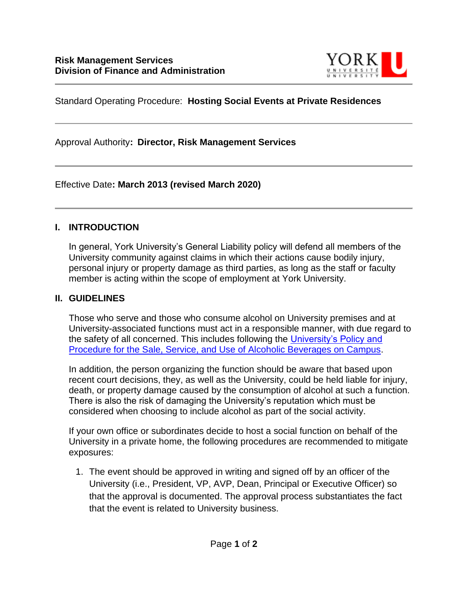

## Standard Operating Procedure: **Hosting Social Events at Private Residences**

Approval Authority**: Director, Risk Management Services**

Effective Date**: March 2013 (revised March 2020)**

## **I. INTRODUCTION**

In general, York University's General Liability policy will defend all members of the University community against claims in which their actions cause bodily injury, personal injury or property damage as third parties, as long as the staff or faculty member is acting within the scope of employment at York University.

## **II. GUIDELINES**

Those who serve and those who consume alcohol on University premises and at University-associated functions must act in a responsible manner, with due regard to the safety of all concerned. This includes following the [University's Policy and](https://secretariat-policies.info.yorku.ca/policies/the-sale-service-and-use-of-alcoholic-beverages-on-campus-procedure/)  [Procedure for the Sale, Service, and Use of Alcoholic Beverages on Campus.](https://secretariat-policies.info.yorku.ca/policies/the-sale-service-and-use-of-alcoholic-beverages-on-campus-procedure/)

In addition, the person organizing the function should be aware that based upon recent court decisions, they, as well as the University, could be held liable for injury, death, or property damage caused by the consumption of alcohol at such a function. There is also the risk of damaging the University's reputation which must be considered when choosing to include alcohol as part of the social activity.

If your own office or subordinates decide to host a social function on behalf of the University in a private home, the following procedures are recommended to mitigate exposures:

1. The event should be approved in writing and signed off by an officer of the University (i.e., President, VP, AVP, Dean, Principal or Executive Officer) so that the approval is documented. The approval process substantiates the fact that the event is related to University business.